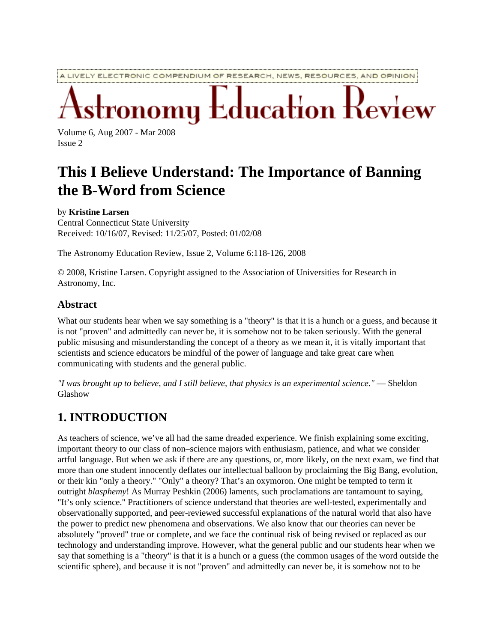A LIVELY ELECTRONIC COMPENDIUM OF RESEARCH, NEWS, RESOURCES, AND OPINION

Education Review

Volume 6, Aug 2007 - Mar 2008 Issue 2

# **This I Believe Understand: The Importance of Banning the B-Word from Science**

by **Kristine Larsen**

Central Connecticut State University Received: 10/16/07, Revised: 11/25/07, Posted: 01/02/08

The Astronomy Education Review, Issue 2, Volume 6:118-126, 2008

© 2008, Kristine Larsen. Copyright assigned to the Association of Universities for Research in Astronomy, Inc.

#### **Abstract**

What our students hear when we say something is a "theory" is that it is a hunch or a guess, and because it is not "proven" and admittedly can never be, it is somehow not to be taken seriously. With the general public misusing and misunderstanding the concept of a theory as we mean it, it is vitally important that scientists and science educators be mindful of the power of language and take great care when communicating with students and the general public.

*"I was brought up to believe, and I still believe, that physics is an experimental science."* — Sheldon Glashow

## **1. INTRODUCTION**

As teachers of science, we've all had the same dreaded experience. We finish explaining some exciting, important theory to our class of non–science majors with enthusiasm, patience, and what we consider artful language. But when we ask if there are any questions, or, more likely, on the next exam, we find that more than one student innocently deflates our intellectual balloon by proclaiming the Big Bang, evolution, or their kin "only a theory." "Only" a theory? That's an oxymoron. One might be tempted to term it outright *blasphemy*! As Murray Peshkin (2006) laments, such proclamations are tantamount to saying, "It's only science." Practitioners of science understand that theories are well-tested, experimentally and observationally supported, and peer-reviewed successful explanations of the natural world that also have the power to predict new phenomena and observations. We also know that our theories can never be absolutely "proved" true or complete, and we face the continual risk of being revised or replaced as our technology and understanding improve. However, what the general public and our students hear when we say that something is a "theory" is that it is a hunch or a guess (the common usages of the word outside the scientific sphere), and because it is not "proven" and admittedly can never be, it is somehow not to be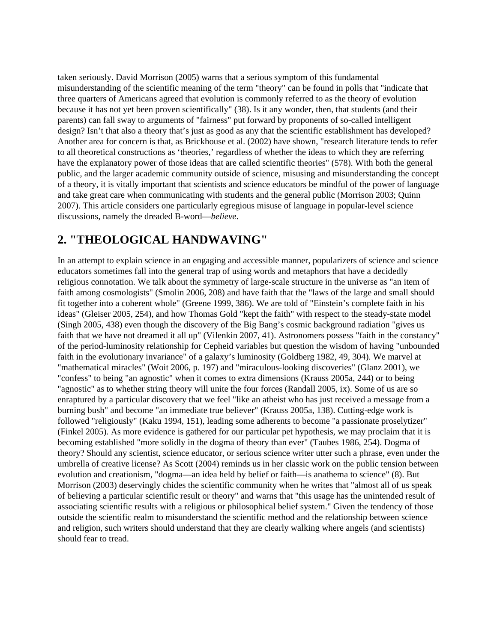taken seriously. David Morrison (2005) warns that a serious symptom of this fundamental misunderstanding of the scientific meaning of the term "theory" can be found in polls that "indicate that three quarters of Americans agreed that evolution is commonly referred to as the theory of evolution because it has not yet been proven scientifically" (38). Is it any wonder, then, that students (and their parents) can fall sway to arguments of "fairness" put forward by proponents of so-called intelligent design? Isn't that also a theory that's just as good as any that the scientific establishment has developed? Another area for concern is that, as Brickhouse et al. (2002) have shown, "research literature tends to refer to all theoretical constructions as 'theories,' regardless of whether the ideas to which they are referring have the explanatory power of those ideas that are called scientific theories" (578). With both the general public, and the larger academic community outside of science, misusing and misunderstanding the concept of a theory, it is vitally important that scientists and science educators be mindful of the power of language and take great care when communicating with students and the general public (Morrison 2003; Quinn 2007). This article considers one particularly egregious misuse of language in popular-level science discussions, namely the dreaded B-word—*believe*.

### **2. "THEOLOGICAL HANDWAVING"**

In an attempt to explain science in an engaging and accessible manner, popularizers of science and science educators sometimes fall into the general trap of using words and metaphors that have a decidedly religious connotation. We talk about the symmetry of large-scale structure in the universe as "an item of faith among cosmologists" (Smolin 2006, 208) and have faith that the "laws of the large and small should fit together into a coherent whole" (Greene 1999, 386). We are told of "Einstein's complete faith in his ideas" (Gleiser 2005, 254), and how Thomas Gold "kept the faith" with respect to the steady-state model (Singh 2005, 438) even though the discovery of the Big Bang's cosmic background radiation "gives us faith that we have not dreamed it all up" (Vilenkin 2007, 41). Astronomers possess "faith in the constancy" of the period-luminosity relationship for Cepheid variables but question the wisdom of having "unbounded faith in the evolutionary invariance" of a galaxy's luminosity (Goldberg 1982, 49, 304). We marvel at "mathematical miracles" (Woit 2006, p. 197) and "miraculous-looking discoveries" (Glanz 2001), we "confess" to being "an agnostic" when it comes to extra dimensions (Krauss 2005a, 244) or to being "agnostic" as to whether string theory will unite the four forces (Randall 2005, ix). Some of us are so enraptured by a particular discovery that we feel "like an atheist who has just received a message from a burning bush" and become "an immediate true believer" (Krauss 2005a, 138). Cutting-edge work is followed "religiously" (Kaku 1994, 151), leading some adherents to become "a passionate proselytizer" (Finkel 2005). As more evidence is gathered for our particular pet hypothesis, we may proclaim that it is becoming established "more solidly in the dogma of theory than ever" (Taubes 1986, 254). Dogma of theory? Should any scientist, science educator, or serious science writer utter such a phrase, even under the umbrella of creative license? As Scott (2004) reminds us in her classic work on the public tension between evolution and creationism, "dogma—an idea held by belief or faith—is anathema to science" (8). But Morrison (2003) deservingly chides the scientific community when he writes that "almost all of us speak of believing a particular scientific result or theory" and warns that "this usage has the unintended result of associating scientific results with a religious or philosophical belief system." Given the tendency of those outside the scientific realm to misunderstand the scientific method and the relationship between science and religion, such writers should understand that they are clearly walking where angels (and scientists) should fear to tread.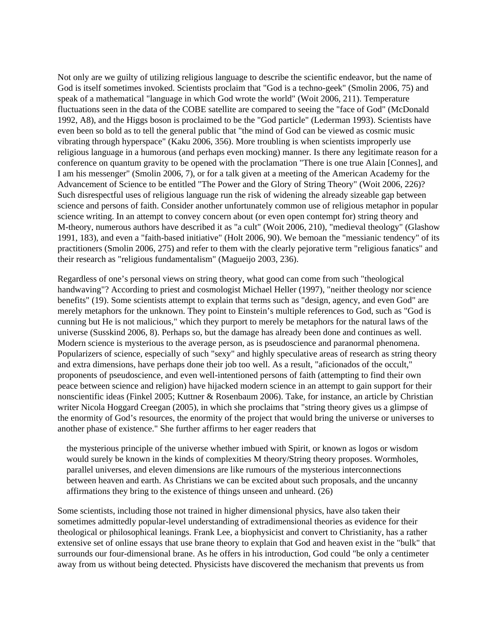Not only are we guilty of utilizing religious language to describe the scientific endeavor, but the name of God is itself sometimes invoked. Scientists proclaim that "God is a techno-geek" (Smolin 2006, 75) and speak of a mathematical "language in which God wrote the world" (Woit 2006, 211). Temperature fluctuations seen in the data of the COBE satellite are compared to seeing the "face of God" (McDonald 1992, A8), and the Higgs boson is proclaimed to be the "God particle" (Lederman 1993). Scientists have even been so bold as to tell the general public that "the mind of God can be viewed as cosmic music vibrating through hyperspace" (Kaku 2006, 356). More troubling is when scientists improperly use religious language in a humorous (and perhaps even mocking) manner. Is there any legitimate reason for a conference on quantum gravity to be opened with the proclamation "There is one true Alain [Connes], and I am his messenger" (Smolin 2006, 7), or for a talk given at a meeting of the American Academy for the Advancement of Science to be entitled "The Power and the Glory of String Theory" (Woit 2006, 226)? Such disrespectful uses of religious language run the risk of widening the already sizeable gap between science and persons of faith. Consider another unfortunately common use of religious metaphor in popular science writing. In an attempt to convey concern about (or even open contempt for) string theory and M-theory, numerous authors have described it as "a cult" (Woit 2006, 210), "medieval theology" (Glashow 1991, 183), and even a "faith-based initiative" (Holt 2006, 90). We bemoan the "messianic tendency" of its practitioners (Smolin 2006, 275) and refer to them with the clearly pejorative term "religious fanatics" and their research as "religious fundamentalism" (Magueijo 2003, 236).

Regardless of one's personal views on string theory, what good can come from such "theological handwaving"? According to priest and cosmologist Michael Heller (1997), "neither theology nor science benefits" (19). Some scientists attempt to explain that terms such as "design, agency, and even God" are merely metaphors for the unknown. They point to Einstein's multiple references to God, such as "God is cunning but He is not malicious," which they purport to merely be metaphors for the natural laws of the universe (Susskind 2006, 8). Perhaps so, but the damage has already been done and continues as well. Modern science is mysterious to the average person, as is pseudoscience and paranormal phenomena. Popularizers of science, especially of such "sexy" and highly speculative areas of research as string theory and extra dimensions, have perhaps done their job too well. As a result, "aficionados of the occult," proponents of pseudoscience, and even well-intentioned persons of faith (attempting to find their own peace between science and religion) have hijacked modern science in an attempt to gain support for their nonscientific ideas (Finkel 2005; Kuttner & Rosenbaum 2006). Take, for instance, an article by Christian writer Nicola Hoggard Creegan (2005), in which she proclaims that "string theory gives us a glimpse of the enormity of God's resources, the enormity of the project that would bring the universe or universes to another phase of existence." She further affirms to her eager readers that

the mysterious principle of the universe whether imbued with Spirit, or known as logos or wisdom would surely be known in the kinds of complexities M theory/String theory proposes. Wormholes, parallel universes, and eleven dimensions are like rumours of the mysterious interconnections between heaven and earth. As Christians we can be excited about such proposals, and the uncanny affirmations they bring to the existence of things unseen and unheard. (26)

Some scientists, including those not trained in higher dimensional physics, have also taken their sometimes admittedly popular-level understanding of extradimensional theories as evidence for their theological or philosophical leanings. Frank Lee, a biophysicist and convert to Christianity, has a rather extensive set of online essays that use brane theory to explain that God and heaven exist in the "bulk" that surrounds our four-dimensional brane. As he offers in his introduction, God could "be only a centimeter away from us without being detected. Physicists have discovered the mechanism that prevents us from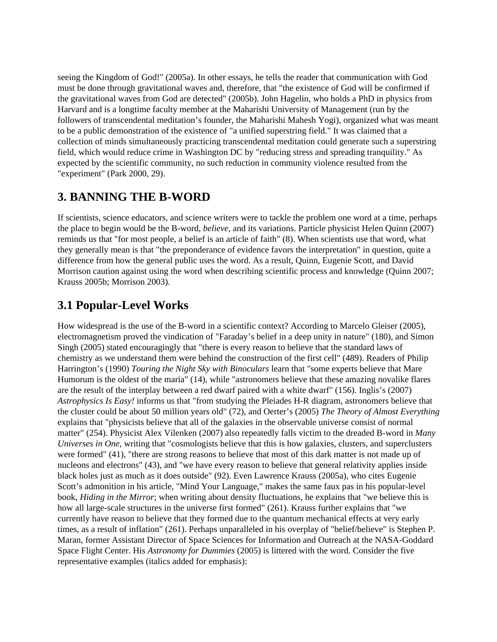seeing the Kingdom of God!" (2005a). In other essays, he tells the reader that communication with God must be done through gravitational waves and, therefore, that "the existence of God will be confirmed if the gravitational waves from God are detected" (2005b). John Hagelin, who holds a PhD in physics from Harvard and is a longtime faculty member at the Maharishi University of Management (run by the followers of transcendental meditation's founder, the Maharishi Mahesh Yogi), organized what was meant to be a public demonstration of the existence of "a unified superstring field." It was claimed that a collection of minds simultaneously practicing transcendental meditation could generate such a superstring field, which would reduce crime in Washington DC by "reducing stress and spreading tranquility." As expected by the scientific community, no such reduction in community violence resulted from the "experiment" (Park 2000, 29).

### **3. BANNING THE B-WORD**

If scientists, science educators, and science writers were to tackle the problem one word at a time, perhaps the place to begin would be the B-word, *believe*, and its variations. Particle physicist Helen Quinn (2007) reminds us that "for most people, a belief is an article of faith" (8). When scientists use that word, what they generally mean is that "the preponderance of evidence favors the interpretation" in question, quite a difference from how the general public uses the word. As a result, Quinn, Eugenie Scott, and David Morrison caution against using the word when describing scientific process and knowledge (Quinn 2007; Krauss 2005b; Morrison 2003).

### **3.1 Popular-Level Works**

How widespread is the use of the B-word in a scientific context? According to Marcelo Gleiser (2005), electromagnetism proved the vindication of "Faraday's belief in a deep unity in nature" (180), and Simon Singh (2005) stated encouragingly that "there is every reason to believe that the standard laws of chemistry as we understand them were behind the construction of the first cell" (489). Readers of Philip Harrington's (1990) *Touring the Night Sky with Binoculars* learn that "some experts believe that Mare Humorum is the oldest of the maria" (14), while "astronomers believe that these amazing novalike flares are the result of the interplay between a red dwarf paired with a white dwarf" (156). Inglis's (2007) *Astrophysics Is Easy!* informs us that "from studying the Pleiades H-R diagram, astronomers believe that the cluster could be about 50 million years old" (72), and Oerter's (2005) *The Theory of Almost Everything* explains that "physicists believe that all of the galaxies in the observable universe consist of normal matter" (254). Physicist Alex Vilenken (2007) also repeatedly falls victim to the dreaded B-word in *Many Universes in One*, writing that "cosmologists believe that this is how galaxies, clusters, and superclusters were formed" (41), "there are strong reasons to believe that most of this dark matter is not made up of nucleons and electrons" (43), and "we have every reason to believe that general relativity applies inside black holes just as much as it does outside" (92). Even Lawrence Krauss (2005a), who cites Eugenie Scott's admonition in his article, "Mind Your Language," makes the same faux pas in his popular-level book, *Hiding in the Mirror*; when writing about density fluctuations, he explains that "we believe this is how all large-scale structures in the universe first formed" (261). Krauss further explains that "we currently have reason to believe that they formed due to the quantum mechanical effects at very early times, as a result of inflation" (261). Perhaps unparalleled in his overplay of "belief/believe" is Stephen P. Maran, former Assistant Director of Space Sciences for Information and Outreach at the NASA-Goddard Space Flight Center. His *Astronomy for Dummies* (2005) is littered with the word. Consider the five representative examples (italics added for emphasis):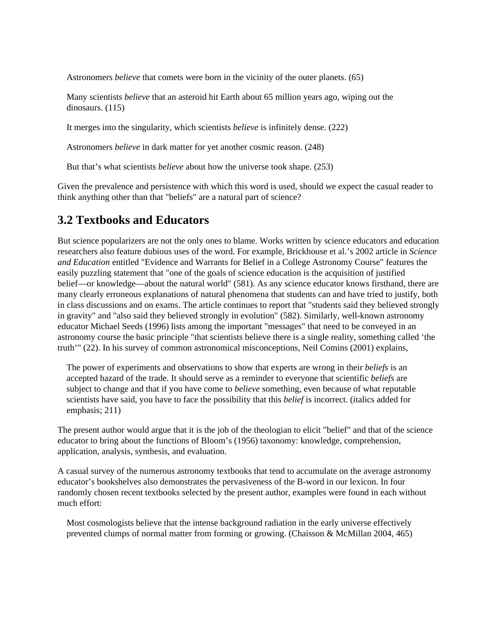Astronomers *believe* that comets were born in the vicinity of the outer planets. (65)

Many scientists *believe* that an asteroid hit Earth about 65 million years ago, wiping out the dinosaurs. (115)

It merges into the singularity, which scientists *believe* is infinitely dense. (222)

Astronomers *believe* in dark matter for yet another cosmic reason. (248)

But that's what scientists *believe* about how the universe took shape. (253)

Given the prevalence and persistence with which this word is used, should we expect the casual reader to think anything other than that "beliefs" are a natural part of science?

### **3.2 Textbooks and Educators**

But science popularizers are not the only ones to blame. Works written by science educators and education researchers also feature dubious uses of the word. For example, Brickhouse et al.'s 2002 article in *Science and Education* entitled "Evidence and Warrants for Belief in a College Astronomy Course" features the easily puzzling statement that "one of the goals of science education is the acquisition of justified belief—or knowledge—about the natural world" (581). As any science educator knows firsthand, there are many clearly erroneous explanations of natural phenomena that students can and have tried to justify, both in class discussions and on exams. The article continues to report that "students said they believed strongly in gravity" and "also said they believed strongly in evolution" (582). Similarly, well-known astronomy educator Michael Seeds (1996) lists among the important "messages" that need to be conveyed in an astronomy course the basic principle "that scientists believe there is a single reality, something called 'the truth'" (22). In his survey of common astronomical misconceptions, Neil Comins (2001) explains,

The power of experiments and observations to show that experts are wrong in their *beliefs* is an accepted hazard of the trade. It should serve as a reminder to everyone that scientific *beliefs* are subject to change and that if you have come to *believe* something, even because of what reputable scientists have said, you have to face the possibility that this *belief* is incorrect. (italics added for emphasis; 211)

The present author would argue that it is the job of the theologian to elicit "belief" and that of the science educator to bring about the functions of Bloom's (1956) taxonomy: knowledge, comprehension, application, analysis, synthesis, and evaluation.

A casual survey of the numerous astronomy textbooks that tend to accumulate on the average astronomy educator's bookshelves also demonstrates the pervasiveness of the B-word in our lexicon. In four randomly chosen recent textbooks selected by the present author, examples were found in each without much effort:

Most cosmologists believe that the intense background radiation in the early universe effectively prevented clumps of normal matter from forming or growing. (Chaisson & McMillan 2004, 465)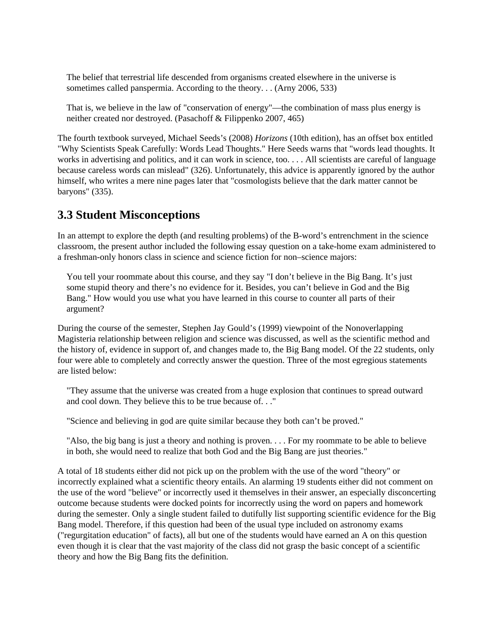The belief that terrestrial life descended from organisms created elsewhere in the universe is sometimes called panspermia. According to the theory. . . (Arny 2006, 533)

That is, we believe in the law of "conservation of energy"—the combination of mass plus energy is neither created nor destroyed. (Pasachoff & Filippenko 2007, 465)

The fourth textbook surveyed, Michael Seeds's (2008) *Horizons* (10th edition), has an offset box entitled "Why Scientists Speak Carefully: Words Lead Thoughts." Here Seeds warns that "words lead thoughts. It works in advertising and politics, and it can work in science, too. . . . All scientists are careful of language because careless words can mislead" (326). Unfortunately, this advice is apparently ignored by the author himself, who writes a mere nine pages later that "cosmologists believe that the dark matter cannot be baryons" (335).

### **3.3 Student Misconceptions**

In an attempt to explore the depth (and resulting problems) of the B-word's entrenchment in the science classroom, the present author included the following essay question on a take-home exam administered to a freshman-only honors class in science and science fiction for non–science majors:

You tell your roommate about this course, and they say "I don't believe in the Big Bang. It's just some stupid theory and there's no evidence for it. Besides, you can't believe in God and the Big Bang." How would you use what you have learned in this course to counter all parts of their argument?

During the course of the semester, Stephen Jay Gould's (1999) viewpoint of the Nonoverlapping Magisteria relationship between religion and science was discussed, as well as the scientific method and the history of, evidence in support of, and changes made to, the Big Bang model. Of the 22 students, only four were able to completely and correctly answer the question. Three of the most egregious statements are listed below:

"They assume that the universe was created from a huge explosion that continues to spread outward and cool down. They believe this to be true because of. . ."

"Science and believing in god are quite similar because they both can't be proved."

"Also, the big bang is just a theory and nothing is proven. . . . For my roommate to be able to believe in both, she would need to realize that both God and the Big Bang are just theories."

A total of 18 students either did not pick up on the problem with the use of the word "theory" or incorrectly explained what a scientific theory entails. An alarming 19 students either did not comment on the use of the word "believe" or incorrectly used it themselves in their answer, an especially disconcerting outcome because students were docked points for incorrectly using the word on papers and homework during the semester. Only a single student failed to dutifully list supporting scientific evidence for the Big Bang model. Therefore, if this question had been of the usual type included on astronomy exams ("regurgitation education" of facts), all but one of the students would have earned an A on this question even though it is clear that the vast majority of the class did not grasp the basic concept of a scientific theory and how the Big Bang fits the definition.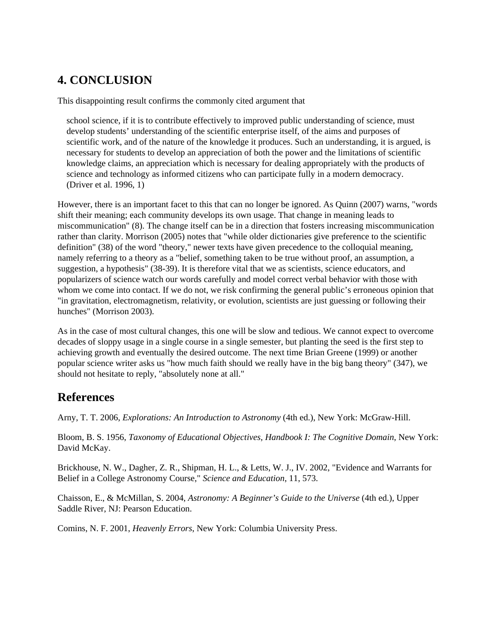## **4. CONCLUSION**

This disappointing result confirms the commonly cited argument that

school science, if it is to contribute effectively to improved public understanding of science, must develop students' understanding of the scientific enterprise itself, of the aims and purposes of scientific work, and of the nature of the knowledge it produces. Such an understanding, it is argued, is necessary for students to develop an appreciation of both the power and the limitations of scientific knowledge claims, an appreciation which is necessary for dealing appropriately with the products of science and technology as informed citizens who can participate fully in a modern democracy. (Driver et al. 1996, 1)

However, there is an important facet to this that can no longer be ignored. As Quinn (2007) warns, "words shift their meaning; each community develops its own usage. That change in meaning leads to miscommunication" (8). The change itself can be in a direction that fosters increasing miscommunication rather than clarity. Morrison (2005) notes that "while older dictionaries give preference to the scientific definition" (38) of the word "theory," newer texts have given precedence to the colloquial meaning, namely referring to a theory as a "belief, something taken to be true without proof, an assumption, a suggestion, a hypothesis" (38-39). It is therefore vital that we as scientists, science educators, and popularizers of science watch our words carefully and model correct verbal behavior with those with whom we come into contact. If we do not, we risk confirming the general public's erroneous opinion that "in gravitation, electromagnetism, relativity, or evolution, scientists are just guessing or following their hunches" (Morrison 2003).

As in the case of most cultural changes, this one will be slow and tedious. We cannot expect to overcome decades of sloppy usage in a single course in a single semester, but planting the seed is the first step to achieving growth and eventually the desired outcome. The next time Brian Greene (1999) or another popular science writer asks us "how much faith should we really have in the big bang theory" (347), we should not hesitate to reply, "absolutely none at all."

## **References**

Arny, T. T. 2006, *Explorations: An Introduction to Astronomy* (4th ed.), New York: McGraw-Hill.

Bloom, B. S. 1956, *Taxonomy of Educational Objectives, Handbook I: The Cognitive Domain*, New York: David McKay.

Brickhouse, N. W., Dagher, Z. R., Shipman, H. L., & Letts, W. J., IV. 2002, "Evidence and Warrants for Belief in a College Astronomy Course," *Science and Education*, 11, 573.

Chaisson, E., & McMillan, S. 2004, *Astronomy: A Beginner's Guide to the Universe* (4th ed.), Upper Saddle River, NJ: Pearson Education.

Comins, N. F. 2001, *Heavenly Errors*, New York: Columbia University Press.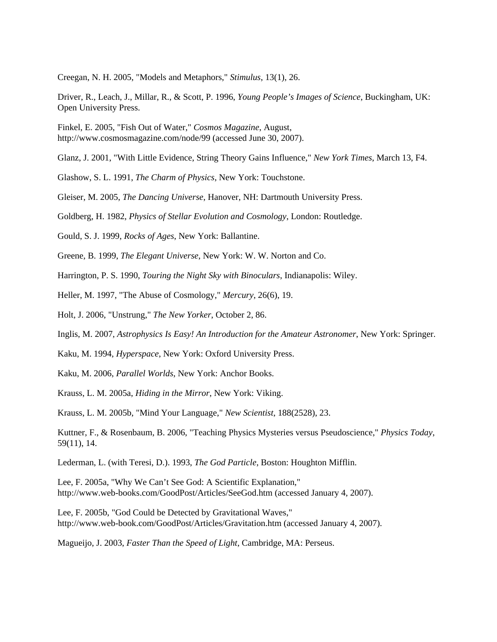Creegan, N. H. 2005, "Models and Metaphors," *Stimulus*, 13(1), 26.

Driver, R., Leach, J., Millar, R., & Scott, P. 1996, *Young People's Images of Science*, Buckingham, UK: Open University Press.

Finkel, E. 2005, "Fish Out of Water," *Cosmos Magazine*, August, http://www.cosmosmagazine.com/node/99 (accessed June 30, 2007).

Glanz, J. 2001, "With Little Evidence, String Theory Gains Influence," *New York Times*, March 13, F4.

Glashow, S. L. 1991, *The Charm of Physics*, New York: Touchstone.

Gleiser, M. 2005, *The Dancing Universe*, Hanover, NH: Dartmouth University Press.

Goldberg, H. 1982, *Physics of Stellar Evolution and Cosmology*, London: Routledge.

Gould, S. J. 1999, *Rocks of Ages*, New York: Ballantine.

Greene, B. 1999, *The Elegant Universe*, New York: W. W. Norton and Co.

Harrington, P. S. 1990, *Touring the Night Sky with Binoculars*, Indianapolis: Wiley.

Heller, M. 1997, "The Abuse of Cosmology," *Mercury*, 26(6), 19.

Holt, J. 2006, "Unstrung," *The New Yorker*, October 2, 86.

Inglis, M. 2007, *Astrophysics Is Easy! An Introduction for the Amateur Astronomer*, New York: Springer.

Kaku, M. 1994, *Hyperspace*, New York: Oxford University Press.

Kaku, M. 2006, *Parallel Worlds*, New York: Anchor Books.

Krauss, L. M. 2005a, *Hiding in the Mirror*, New York: Viking.

Krauss, L. M. 2005b, "Mind Your Language," *New Scientist*, 188(2528), 23.

Kuttner, F., & Rosenbaum, B. 2006, "Teaching Physics Mysteries versus Pseudoscience," *Physics Today*, 59(11), 14.

Lederman, L. (with Teresi, D.). 1993, *The God Particle*, Boston: Houghton Mifflin.

Lee, F. 2005a, "Why We Can't See God: A Scientific Explanation," http://www.web-books.com/GoodPost/Articles/SeeGod.htm (accessed January 4, 2007).

Lee, F. 2005b, "God Could be Detected by Gravitational Waves," http://www.web-book.com/GoodPost/Articles/Gravitation.htm (accessed January 4, 2007).

Magueijo, J. 2003, *Faster Than the Speed of Light*, Cambridge, MA: Perseus.